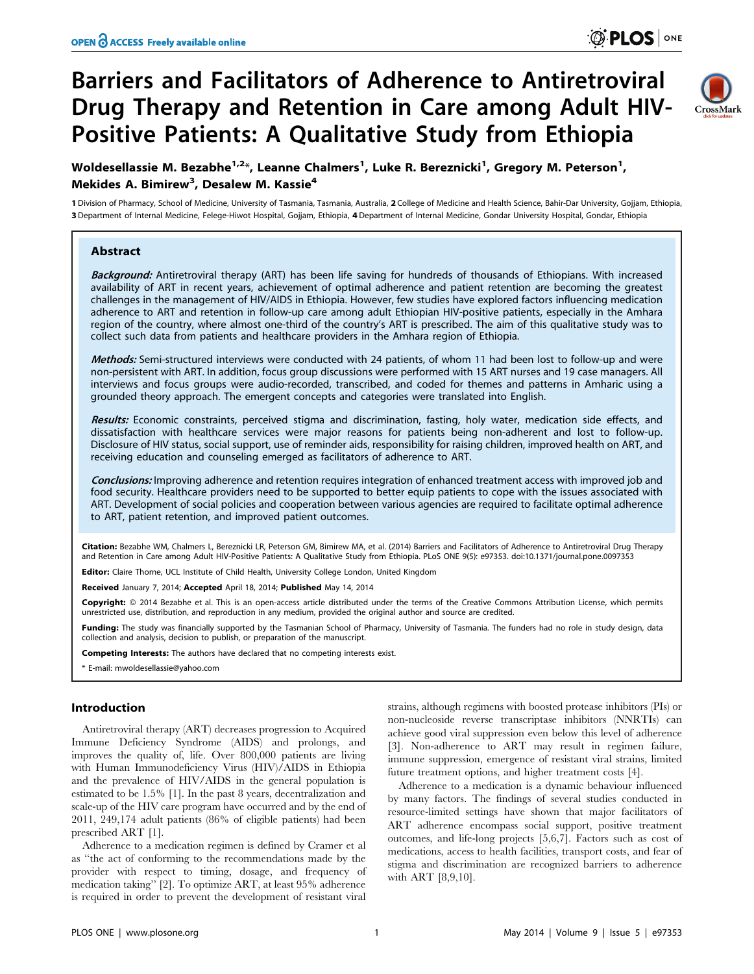# Barriers and Facilitators of Adherence to Antiretroviral Drug Therapy and Retention in Care among Adult HIV-Positive Patients: A Qualitative Study from Ethiopia



Woldesellassie M. Bezabhe<sup>1,2</sup>\*, Leanne Chalmers<sup>1</sup>, Luke R. Bereznicki<sup>1</sup>, Gregory M. Peterson<sup>1</sup>, Mekides A. Bimirew<sup>3</sup>, Desalew M. Kassie<sup>4</sup>

1 Division of Pharmacy, School of Medicine, University of Tasmania, Tasmania, Australia, 2 College of Medicine and Health Science, Bahir-Dar University, Gojjam, Ethiopia, 3 Department of Internal Medicine, Felege-Hiwot Hospital, Gojjam, Ethiopia, 4 Department of Internal Medicine, Gondar University Hospital, Gondar, Ethiopia

# Abstract

Background: Antiretroviral therapy (ART) has been life saving for hundreds of thousands of Ethiopians. With increased availability of ART in recent years, achievement of optimal adherence and patient retention are becoming the greatest challenges in the management of HIV/AIDS in Ethiopia. However, few studies have explored factors influencing medication adherence to ART and retention in follow-up care among adult Ethiopian HIV-positive patients, especially in the Amhara region of the country, where almost one-third of the country's ART is prescribed. The aim of this qualitative study was to collect such data from patients and healthcare providers in the Amhara region of Ethiopia.

Methods: Semi-structured interviews were conducted with 24 patients, of whom 11 had been lost to follow-up and were non-persistent with ART. In addition, focus group discussions were performed with 15 ART nurses and 19 case managers. All interviews and focus groups were audio-recorded, transcribed, and coded for themes and patterns in Amharic using a grounded theory approach. The emergent concepts and categories were translated into English.

Results: Economic constraints, perceived stigma and discrimination, fasting, holy water, medication side effects, and dissatisfaction with healthcare services were major reasons for patients being non-adherent and lost to follow-up. Disclosure of HIV status, social support, use of reminder aids, responsibility for raising children, improved health on ART, and receiving education and counseling emerged as facilitators of adherence to ART.

Conclusions: Improving adherence and retention requires integration of enhanced treatment access with improved job and food security. Healthcare providers need to be supported to better equip patients to cope with the issues associated with ART. Development of social policies and cooperation between various agencies are required to facilitate optimal adherence to ART, patient retention, and improved patient outcomes.

Citation: Bezabhe WM, Chalmers L, Bereznicki LR, Peterson GM, Bimirew MA, et al. (2014) Barriers and Facilitators of Adherence to Antiretroviral Drug Therapy and Retention in Care among Adult HIV-Positive Patients: A Qualitative Study from Ethiopia. PLoS ONE 9(5): e97353. doi:10.1371/journal.pone.0097353

Editor: Claire Thorne, UCL Institute of Child Health, University College London, United Kingdom

Received January 7, 2014; Accepted April 18, 2014; Published May 14, 2014

**Copyright:** © 2014 Bezabhe et al. This is an open-access article distributed under the terms of the [Creative Commons Attribution License,](http://creativecommons.org/licenses/by/4.0/) which permits unrestricted use, distribution, and reproduction in any medium, provided the original author and source are credited.

Funding: The study was financially supported by the Tasmanian School of Pharmacy, University of Tasmania. The funders had no role in study design, data collection and analysis, decision to publish, or preparation of the manuscript.

Competing Interests: The authors have declared that no competing interests exist.

\* E-mail: mwoldesellassie@yahoo.com

## Introduction

Antiretroviral therapy (ART) decreases progression to Acquired Immune Deficiency Syndrome (AIDS) and prolongs, and improves the quality of, life. Over 800,000 patients are living with Human Immunodeficiency Virus (HIV)/AIDS in Ethiopia and the prevalence of HIV/AIDS in the general population is estimated to be 1.5% [1]. In the past 8 years, decentralization and scale-up of the HIV care program have occurred and by the end of 2011, 249,174 adult patients (86% of eligible patients) had been prescribed ART [1].

Adherence to a medication regimen is defined by Cramer et al as ''the act of conforming to the recommendations made by the provider with respect to timing, dosage, and frequency of medication taking'' [2]. To optimize ART, at least 95% adherence is required in order to prevent the development of resistant viral

strains, although regimens with boosted protease inhibitors (PIs) or non-nucleoside reverse transcriptase inhibitors (NNRTIs) can achieve good viral suppression even below this level of adherence [3]. Non-adherence to ART may result in regimen failure, immune suppression, emergence of resistant viral strains, limited future treatment options, and higher treatment costs [4].

Adherence to a medication is a dynamic behaviour influenced by many factors. The findings of several studies conducted in resource-limited settings have shown that major facilitators of ART adherence encompass social support, positive treatment outcomes, and life-long projects [5,6,7]. Factors such as cost of medications, access to health facilities, transport costs, and fear of stigma and discrimination are recognized barriers to adherence with ART [8,9,10].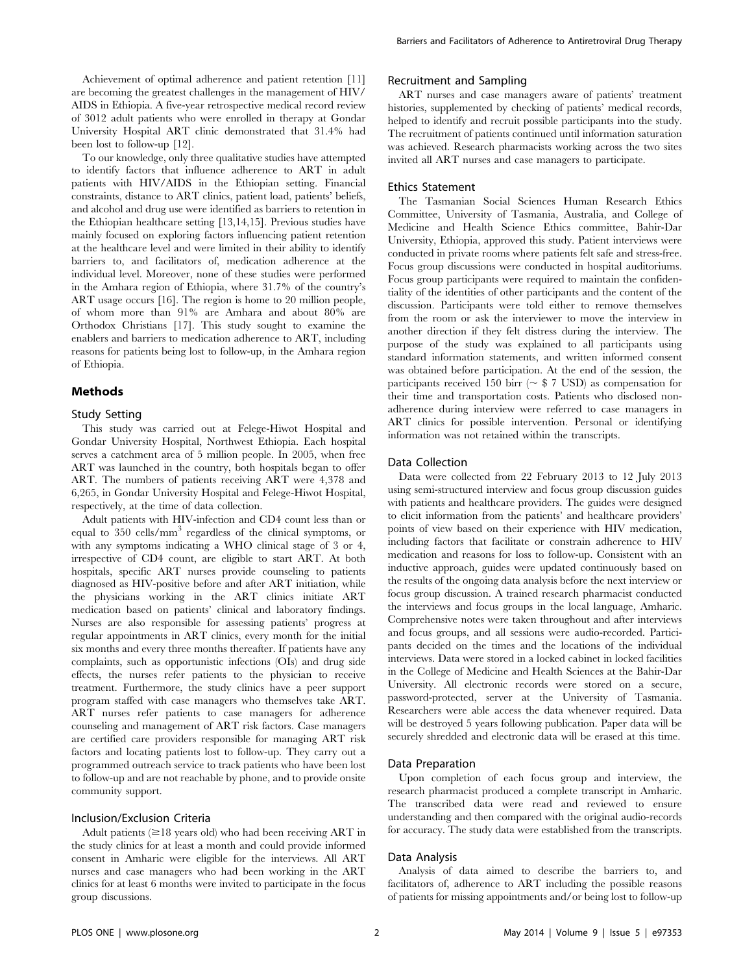To our knowledge, only three qualitative studies have attempted to identify factors that influence adherence to ART in adult patients with HIV/AIDS in the Ethiopian setting. Financial constraints, distance to ART clinics, patient load, patients' beliefs, and alcohol and drug use were identified as barriers to retention in the Ethiopian healthcare setting [13,14,15]. Previous studies have mainly focused on exploring factors influencing patient retention at the healthcare level and were limited in their ability to identify barriers to, and facilitators of, medication adherence at the individual level. Moreover, none of these studies were performed in the Amhara region of Ethiopia, where 31.7% of the country's ART usage occurs [16]. The region is home to 20 million people, of whom more than 91% are Amhara and about 80% are Orthodox Christians [17]. This study sought to examine the enablers and barriers to medication adherence to ART, including reasons for patients being lost to follow-up, in the Amhara region of Ethiopia.

## Methods

# Study Setting

This study was carried out at Felege-Hiwot Hospital and Gondar University Hospital, Northwest Ethiopia. Each hospital serves a catchment area of 5 million people. In 2005, when free ART was launched in the country, both hospitals began to offer ART. The numbers of patients receiving ART were 4,378 and 6,265, in Gondar University Hospital and Felege-Hiwot Hospital, respectively, at the time of data collection.

Adult patients with HIV-infection and CD4 count less than or equal to 350 cells/mm<sup>3</sup> regardless of the clinical symptoms, or with any symptoms indicating a WHO clinical stage of 3 or 4, irrespective of CD4 count, are eligible to start ART. At both hospitals, specific ART nurses provide counseling to patients diagnosed as HIV-positive before and after ART initiation, while the physicians working in the ART clinics initiate ART medication based on patients' clinical and laboratory findings. Nurses are also responsible for assessing patients' progress at regular appointments in ART clinics, every month for the initial six months and every three months thereafter. If patients have any complaints, such as opportunistic infections (OIs) and drug side effects, the nurses refer patients to the physician to receive treatment. Furthermore, the study clinics have a peer support program staffed with case managers who themselves take ART. ART nurses refer patients to case managers for adherence counseling and management of ART risk factors. Case managers are certified care providers responsible for managing ART risk factors and locating patients lost to follow-up. They carry out a programmed outreach service to track patients who have been lost to follow-up and are not reachable by phone, and to provide onsite community support.

# Inclusion/Exclusion Criteria

Adult patients  $(\geq 18$  years old) who had been receiving ART in the study clinics for at least a month and could provide informed consent in Amharic were eligible for the interviews. All ART nurses and case managers who had been working in the ART clinics for at least 6 months were invited to participate in the focus group discussions.

# Recruitment and Sampling

ART nurses and case managers aware of patients' treatment histories, supplemented by checking of patients' medical records, helped to identify and recruit possible participants into the study. The recruitment of patients continued until information saturation was achieved. Research pharmacists working across the two sites invited all ART nurses and case managers to participate.

#### Ethics Statement

The Tasmanian Social Sciences Human Research Ethics Committee, University of Tasmania, Australia, and College of Medicine and Health Science Ethics committee, Bahir-Dar University, Ethiopia, approved this study. Patient interviews were conducted in private rooms where patients felt safe and stress-free. Focus group discussions were conducted in hospital auditoriums. Focus group participants were required to maintain the confidentiality of the identities of other participants and the content of the discussion. Participants were told either to remove themselves from the room or ask the interviewer to move the interview in another direction if they felt distress during the interview. The purpose of the study was explained to all participants using standard information statements, and written informed consent was obtained before participation. At the end of the session, the participants received 150 birr ( $\sim$  \$ 7 USD) as compensation for their time and transportation costs. Patients who disclosed nonadherence during interview were referred to case managers in ART clinics for possible intervention. Personal or identifying information was not retained within the transcripts.

# Data Collection

Data were collected from 22 February 2013 to 12 July 2013 using semi-structured interview and focus group discussion guides with patients and healthcare providers. The guides were designed to elicit information from the patients' and healthcare providers' points of view based on their experience with HIV medication, including factors that facilitate or constrain adherence to HIV medication and reasons for loss to follow-up. Consistent with an inductive approach, guides were updated continuously based on the results of the ongoing data analysis before the next interview or focus group discussion. A trained research pharmacist conducted the interviews and focus groups in the local language, Amharic. Comprehensive notes were taken throughout and after interviews and focus groups, and all sessions were audio-recorded. Participants decided on the times and the locations of the individual interviews. Data were stored in a locked cabinet in locked facilities in the College of Medicine and Health Sciences at the Bahir-Dar University. All electronic records were stored on a secure, password-protected, server at the University of Tasmania. Researchers were able access the data whenever required. Data will be destroyed 5 years following publication. Paper data will be securely shredded and electronic data will be erased at this time.

## Data Preparation

Upon completion of each focus group and interview, the research pharmacist produced a complete transcript in Amharic. The transcribed data were read and reviewed to ensure understanding and then compared with the original audio-records for accuracy. The study data were established from the transcripts.

#### Data Analysis

Analysis of data aimed to describe the barriers to, and facilitators of, adherence to ART including the possible reasons of patients for missing appointments and/or being lost to follow-up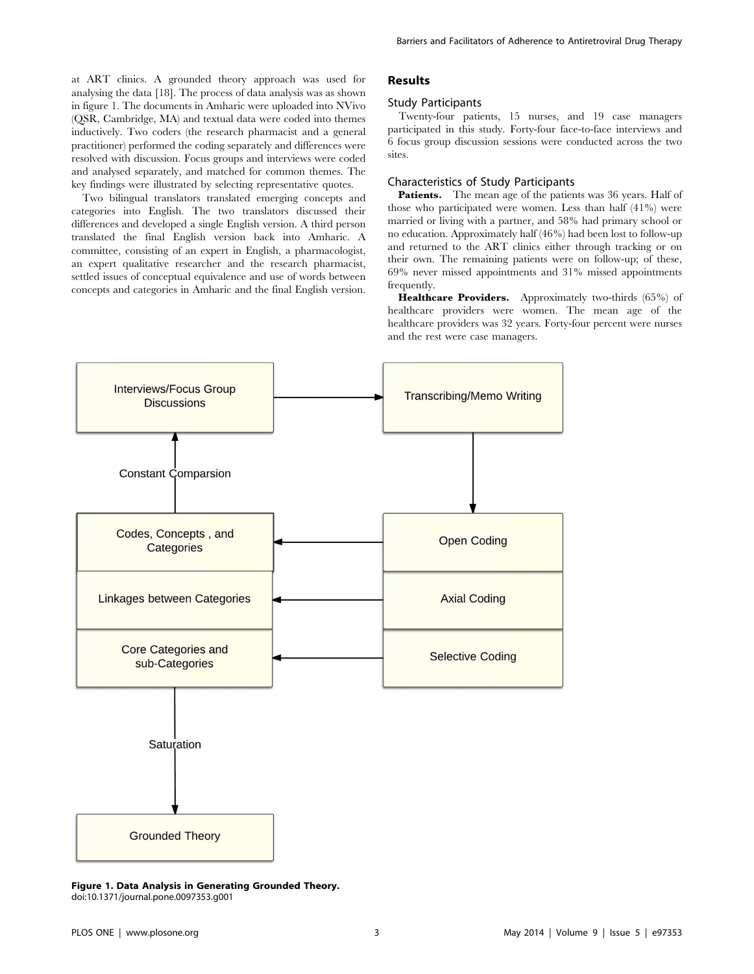at ART clinics. A grounded theory approach was used for analysing the data [18]. The process of data analysis was as shown in figure 1. The documents in Amharic were uploaded into NVivo (QSR, Cambridge, MA) and textual data were coded into themes inductively. Two coders (the research pharmacist and a general practitioner) performed the coding separately and differences were resolved with discussion. Focus groups and interviews were coded and analysed separately, and matched for common themes. The key findings were illustrated by selecting representative quotes.

Two bilingual translators translated emerging concepts and categories into English. The two translators discussed their differences and developed a single English version. A third person translated the final English version back into Amharic. A committee, consisting of an expert in English, a pharmacologist, an expert qualitative researcher and the research pharmacist, settled issues of conceptual equivalence and use of words between concepts and categories in Amharic and the final English version.

## Results

#### Study Participants

Twenty-four patients, 15 nurses, and 19 case managers participated in this study. Forty-four face-to-face interviews and 6 focus group discussion sessions were conducted across the two sites.

## Characteristics of Study Participants

Patients. The mean age of the patients was 36 years. Half of those who participated were women. Less than half (41%) were married or living with a partner, and 58% had primary school or no education. Approximately half (46%) had been lost to follow-up and returned to the ART clinics either through tracking or on their own. The remaining patients were on follow-up; of these, 69% never missed appointments and 31% missed appointments frequently.

Healthcare Providers. Approximately two-thirds (65%) of healthcare providers were women. The mean age of the healthcare providers was 32 years. Forty-four percent were nurses and the rest were case managers.



Figure 1. Data Analysis in Generating Grounded Theory. doi:10.1371/journal.pone.0097353.g001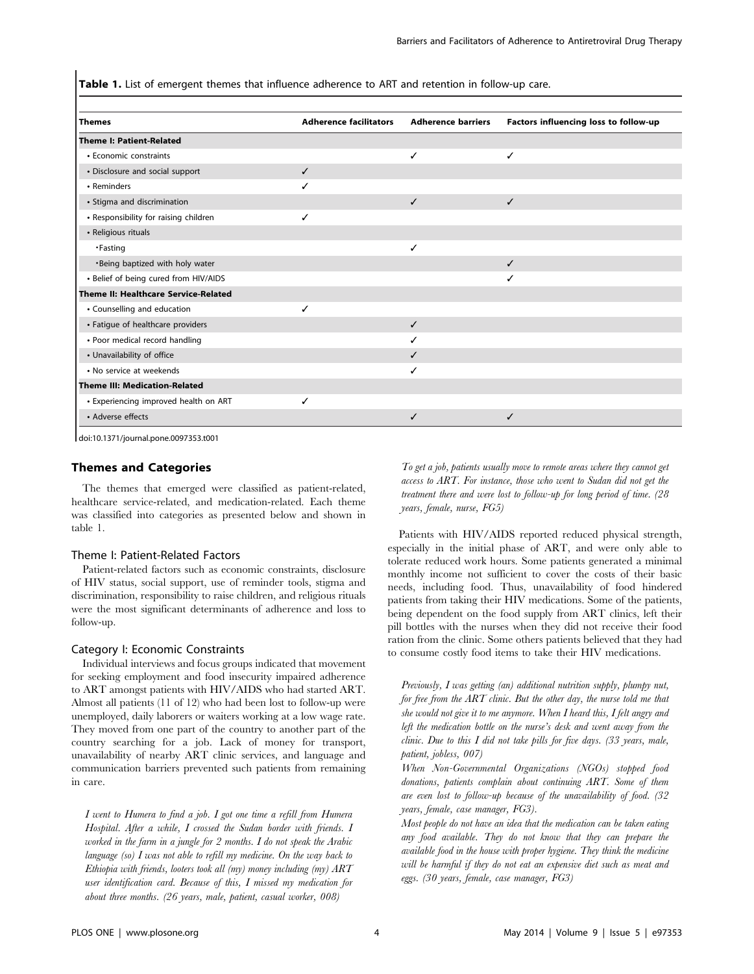Table 1. List of emergent themes that influence adherence to ART and retention in follow-up care.

| <b>Themes</b>                         | <b>Adherence facilitators</b> | <b>Adherence barriers</b> | Factors influencing loss to follow-up |
|---------------------------------------|-------------------------------|---------------------------|---------------------------------------|
| <b>Theme I: Patient-Related</b>       |                               |                           |                                       |
| • Economic constraints                |                               | ✓                         | ✓                                     |
| • Disclosure and social support       | $\checkmark$                  |                           |                                       |
| • Reminders                           | ✓                             |                           |                                       |
| • Stigma and discrimination           |                               | ✓                         | $\checkmark$                          |
| • Responsibility for raising children | ✓                             |                           |                                       |
| • Religious rituals                   |                               |                           |                                       |
| •Fasting                              |                               | ✓                         |                                       |
| . Being baptized with holy water      |                               |                           | $\checkmark$                          |
| • Belief of being cured from HIV/AIDS |                               |                           | ✓                                     |
| Theme II: Healthcare Service-Related  |                               |                           |                                       |
| • Counselling and education           | ✓                             |                           |                                       |
| • Fatigue of healthcare providers     |                               | ✓                         |                                       |
| • Poor medical record handling        |                               | ✓                         |                                       |
| • Unavailability of office            |                               | ✓                         |                                       |
| • No service at weekends              |                               | ✓                         |                                       |
| <b>Theme III: Medication-Related</b>  |                               |                           |                                       |
| • Experiencing improved health on ART | $\checkmark$                  |                           |                                       |
| • Adverse effects                     |                               | ✓                         | ✓                                     |

doi:10.1371/journal.pone.0097353.t001

## Themes and Categories

The themes that emerged were classified as patient-related, healthcare service-related, and medication-related. Each theme was classified into categories as presented below and shown in table 1.

## Theme I: Patient-Related Factors

Patient-related factors such as economic constraints, disclosure of HIV status, social support, use of reminder tools, stigma and discrimination, responsibility to raise children, and religious rituals were the most significant determinants of adherence and loss to follow-up.

#### Category I: Economic Constraints

Individual interviews and focus groups indicated that movement for seeking employment and food insecurity impaired adherence to ART amongst patients with HIV/AIDS who had started ART. Almost all patients (11 of 12) who had been lost to follow-up were unemployed, daily laborers or waiters working at a low wage rate. They moved from one part of the country to another part of the country searching for a job. Lack of money for transport, unavailability of nearby ART clinic services, and language and communication barriers prevented such patients from remaining in care.

I went to Humera to find a job. I got one time a refill from Humera Hospital. After a while, I crossed the Sudan border with friends. I worked in the farm in a jungle for 2 months. I do not speak the Arabic language (so) I was not able to refill my medicine. On the way back to Ethiopia with friends, looters took all  $(my)$  money including  $(my)$  ART user identification card. Because of this, I missed my medication for about three months. (26 years, male, patient, casual worker, 008)

To get a job, patients usually move to remote areas where they cannot get access to ART. For instance, those who went to Sudan did not get the treatment there and were lost to follow-up for long period of time. (28 years, female, nurse, FG5)

Patients with HIV/AIDS reported reduced physical strength, especially in the initial phase of ART, and were only able to tolerate reduced work hours. Some patients generated a minimal monthly income not sufficient to cover the costs of their basic needs, including food. Thus, unavailability of food hindered patients from taking their HIV medications. Some of the patients, being dependent on the food supply from ART clinics, left their pill bottles with the nurses when they did not receive their food ration from the clinic. Some others patients believed that they had to consume costly food items to take their HIV medications.

Previously, I was getting (an) additional nutrition supply, plumpy nut, for free from the ART clinic. But the other day, the nurse told me that she would not give it to me anymore. When I heard this, I felt angry and left the medication bottle on the nurse's desk and went away from the clinic. Due to this  $I$  did not take pills for five days. (33 years, male, patient, jobless, 007)

When Non-Governmental Organizations (NGOs) stopped food donations, patients complain about continuing ART. Some of them are even lost to follow-up because of the unavailability of food. (32 years, female, case manager, FG3).

Most people do not have an idea that the medication can be taken eating any food available. They do not know that they can prepare the available food in the house with proper hygiene. They think the medicine will be harmful if they do not eat an expensive diet such as meat and eggs. (30 years, female, case manager, FG3)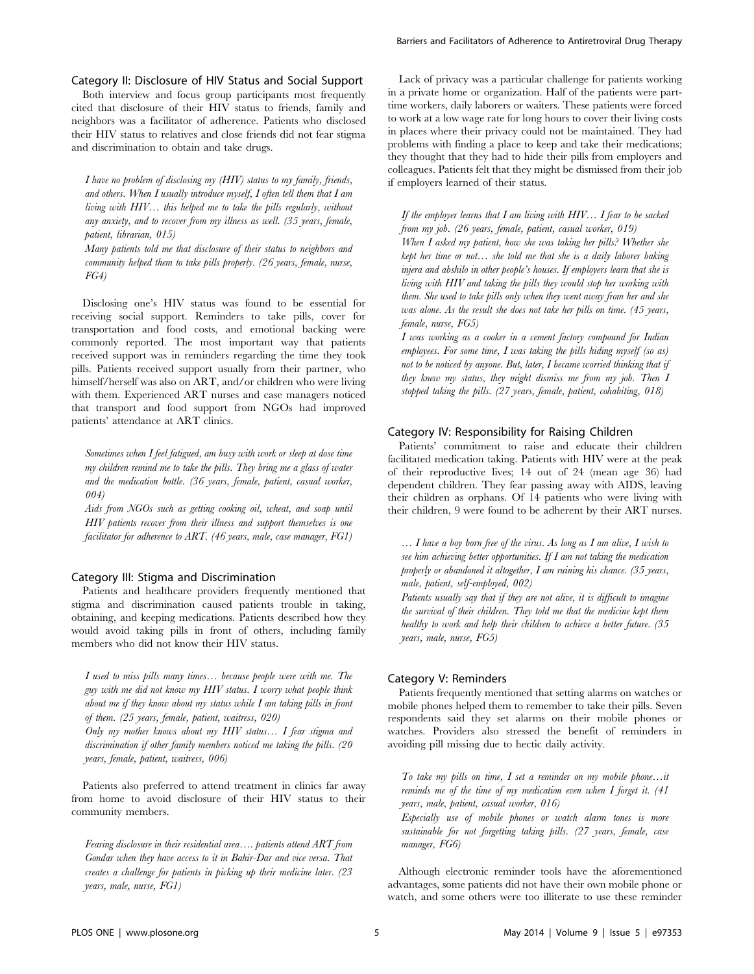Category II: Disclosure of HIV Status and Social Support Both interview and focus group participants most frequently cited that disclosure of their HIV status to friends, family and neighbors was a facilitator of adherence. Patients who disclosed their HIV status to relatives and close friends did not fear stigma

and discrimination to obtain and take drugs.

I have no problem of disclosing my (HIV) status to my family, friends, and others. When I usually introduce myself, I often tell them that I am living with HIV… this helped me to take the pills regularly, without any anxiety, and to recover from my illness as well. (35 years, female, patient, librarian, 015)

Many patients told me that disclosure of their status to neighbors and community helped them to take pills properly. (26 years, female, nurse, FG4)

Disclosing one's HIV status was found to be essential for receiving social support. Reminders to take pills, cover for transportation and food costs, and emotional backing were commonly reported. The most important way that patients received support was in reminders regarding the time they took pills. Patients received support usually from their partner, who himself/herself was also on ART, and/or children who were living with them. Experienced ART nurses and case managers noticed that transport and food support from NGOs had improved patients' attendance at ART clinics.

Sometimes when I feel fatigued, am busy with work or sleep at dose time my children remind me to take the pills. They bring me a glass of water and the medication bottle. (36 years, female, patient, casual worker, 004)

Aids from NGOs such as getting cooking oil, wheat, and soap until HIV patients recover from their illness and support themselves is one facilitator for adherence to ART. (46 years, male, case manager, FG1)

## Category III: Stigma and Discrimination

Patients and healthcare providers frequently mentioned that stigma and discrimination caused patients trouble in taking, obtaining, and keeping medications. Patients described how they would avoid taking pills in front of others, including family members who did not know their HIV status.

I used to miss pills many times… because people were with me. The guy with me did not know my HIV status. I worry what people think about me if they know about my status while I am taking pills in front of them. (25 years, female, patient, waitress, 020)

Only my mother knows about my HIV status... I fear stigma and discrimination if other family members noticed me taking the pills. (20 years, female, patient, waitress, 006)

Patients also preferred to attend treatment in clinics far away from home to avoid disclosure of their HIV status to their community members.

Fearing disclosure in their residential area…. patients attend ART from Gondar when they have access to it in Bahir-Dar and vice versa. That creates a challenge for patients in picking up their medicine later. (23 years, male, nurse, FG1)

Lack of privacy was a particular challenge for patients working in a private home or organization. Half of the patients were parttime workers, daily laborers or waiters. These patients were forced to work at a low wage rate for long hours to cover their living costs in places where their privacy could not be maintained. They had problems with finding a place to keep and take their medications; they thought that they had to hide their pills from employers and colleagues. Patients felt that they might be dismissed from their job if employers learned of their status.

If the employer learns that  $I$  am living with  $HIV...$  I fear to be sacked from my job. (26 years, female, patient, casual worker, 019)

When I asked my patient, how she was taking her pills? Whether she kept her time or not… she told me that she is a daily laborer baking injera and abshilo in other people's houses. If employers learn that she is living with HIV and taking the pills they would stop her working with them. She used to take pills only when they went away from her and she was alone. As the result she does not take her pills on time. (45 years, female, nurse, FG5)

I was working as a cooker in a cement factory compound for Indian employees. For some time,  $I$  was taking the pills hiding myself (so as) not to be noticed by anyone. But, later, I became worried thinking that if they knew my status, they might dismiss me from my job. Then I stopped taking the pills. (27 years, female, patient, cohabiting, 018)

## Category IV: Responsibility for Raising Children

Patients' commitment to raise and educate their children facilitated medication taking. Patients with HIV were at the peak of their reproductive lives; 14 out of 24 (mean age 36) had dependent children. They fear passing away with AIDS, leaving their children as orphans. Of 14 patients who were living with their children, 9 were found to be adherent by their ART nurses.

… I have a boy born free of the virus. As long as I am alive, I wish to see him achieving better opportunities. If  $I$  am not taking the medication properly or abandoned it altogether, I am ruining his chance. (35 years, male, patient, self-employed, 002)

Patients usually say that if they are not alive, it is difficult to imagine the survival of their children. They told me that the medicine kept them healthy to work and help their children to achieve a better future. (35 years, male, nurse, FG5)

# Category V: Reminders

manager, FG6)

Patients frequently mentioned that setting alarms on watches or mobile phones helped them to remember to take their pills. Seven respondents said they set alarms on their mobile phones or watches. Providers also stressed the benefit of reminders in avoiding pill missing due to hectic daily activity.

To take my pills on time,  $I$  set a reminder on my mobile phone...it reminds me of the time of my medication even when I forget it. (41 years, male, patient, casual worker, 016) Especially use of mobile phones or watch alarm tones is more sustainable for not forgetting taking pills. (27 years, female, case

Although electronic reminder tools have the aforementioned advantages, some patients did not have their own mobile phone or watch, and some others were too illiterate to use these reminder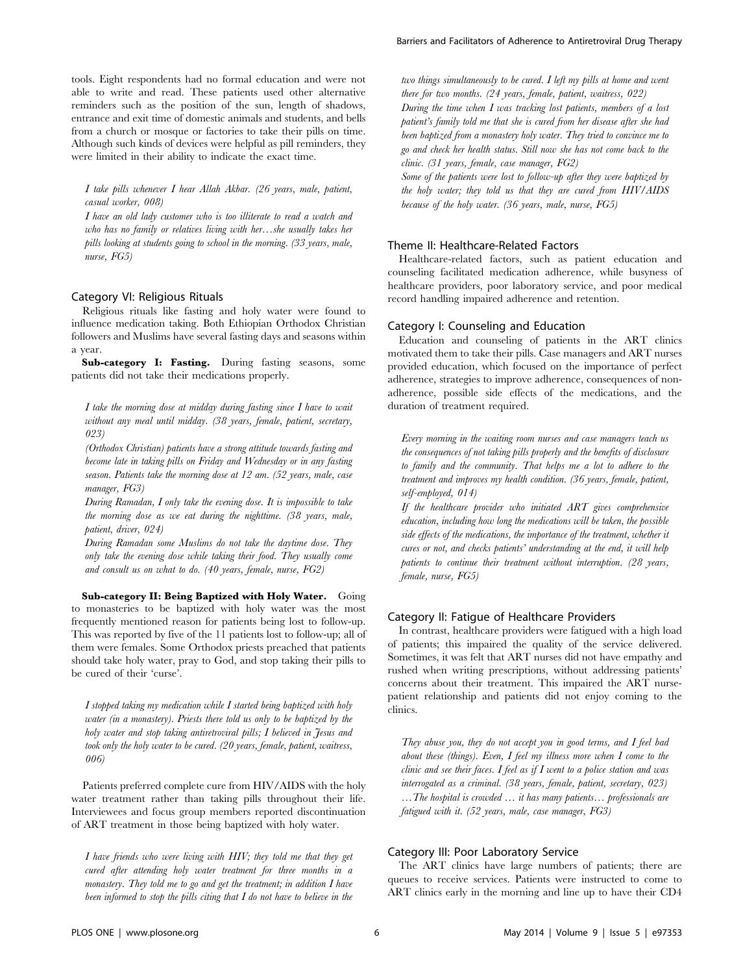I take pills whenever I hear Allah Akbar. (26 years, male, patient, casual worker, 008)

I have an old lady customer who is too illiterate to read a watch and who has no family or relatives living with her…she usually takes her pills looking at students going to school in the morning. (33 years, male, nurse, FG5)

## Category VI: Religious Rituals

Religious rituals like fasting and holy water were found to influence medication taking. Both Ethiopian Orthodox Christian followers and Muslims have several fasting days and seasons within a year.

Sub-category I: Fasting. During fasting seasons, some patients did not take their medications properly.

I take the morning dose at midday during fasting since I have to wait without any meal until midday. (38 years, female, patient, secretary, 023)

(Orthodox Christian) patients have a strong attitude towards fasting and become late in taking pills on Friday and Wednesday or in any fasting season. Patients take the morning dose at 12 am. (52 years, male, case manager, FG3)

During Ramadan, I only take the evening dose. It is impossible to take the morning dose as we eat during the nighttime. (38 years, male, patient, driver, 024)

During Ramadan some Muslims do not take the daytime dose. They only take the evening dose while taking their food. They usually come and consult us on what to do. (40 years, female, nurse, FG2)

Sub-category II: Being Baptized with Holy Water. Going to monasteries to be baptized with holy water was the most frequently mentioned reason for patients being lost to follow-up. This was reported by five of the 11 patients lost to follow-up; all of them were females. Some Orthodox priests preached that patients should take holy water, pray to God, and stop taking their pills to be cured of their 'curse'.

I stopped taking my medication while I started being baptized with holy water (in a monastery). Priests there told us only to be baptized by the holy water and stop taking antiretroviral pills; I believed in Jesus and took only the holy water to be cured. (20 years, female, patient, waitress, 006)

Patients preferred complete cure from HIV/AIDS with the holy water treatment rather than taking pills throughout their life. Interviewees and focus group members reported discontinuation of ART treatment in those being baptized with holy water.

I have friends who were living with HIV; they told me that they get cured after attending holy water treatment for three months in a monastery. They told me to go and get the treatment; in addition I have been informed to stop the pills citing that I do not have to believe in the

two things simultaneously to be cured. I left my pills at home and went there for two months. (24 years, female, patient, waitress, 022) During the time when  $I$  was tracking lost patients, members of a lost patient's family told me that she is cured from her disease after she had been baptized from a monastery holy water. They tried to convince me to go and check her health status. Still now she has not come back to the clinic. (31 years, female, case manager, FG2)

Some of the patients were lost to follow-up after they were baptized by the holy water; they told us that they are cured from HIV/AIDS because of the holy water. (36 years, male, nurse, FG5)

## Theme II: Healthcare-Related Factors

Healthcare-related factors, such as patient education and counseling facilitated medication adherence, while busyness of healthcare providers, poor laboratory service, and poor medical record handling impaired adherence and retention.

#### Category I: Counseling and Education

Education and counseling of patients in the ART clinics motivated them to take their pills. Case managers and ART nurses provided education, which focused on the importance of perfect adherence, strategies to improve adherence, consequences of nonadherence, possible side effects of the medications, and the duration of treatment required.

Every morning in the waiting room nurses and case managers teach us the consequences of not taking pills properly and the benefits of disclosure to family and the community. That helps me a lot to adhere to the treatment and improves my health condition. (36 years, female, patient, self-employed, 014)

If the healthcare provider who initiated  $ART$  gives comprehensive education, including how long the medications will be taken, the possible side effects of the medications, the importance of the treatment, whether it cures or not, and checks patients' understanding at the end, it will help patients to continue their treatment without interruption. (28 years, female, nurse, FG5)

## Category II: Fatigue of Healthcare Providers

In contrast, healthcare providers were fatigued with a high load of patients; this impaired the quality of the service delivered. Sometimes, it was felt that ART nurses did not have empathy and rushed when writing prescriptions, without addressing patients' concerns about their treatment. This impaired the ART nursepatient relationship and patients did not enjoy coming to the clinics.

They abuse you, they do not accept you in good terms, and I feel bad about these (things). Even,  $I$  feel my illness more when  $I$  come to the clinic and see their faces. I feel as if I went to a police station and was interrogated as a criminal. (38 years, female, patient, secretary, 023) …The hospital is crowded … it has many patients… professionals are fatigued with it. (52 years, male, case manager, FG3)

# Category III: Poor Laboratory Service

The ART clinics have large numbers of patients; there are queues to receive services. Patients were instructed to come to ART clinics early in the morning and line up to have their CD4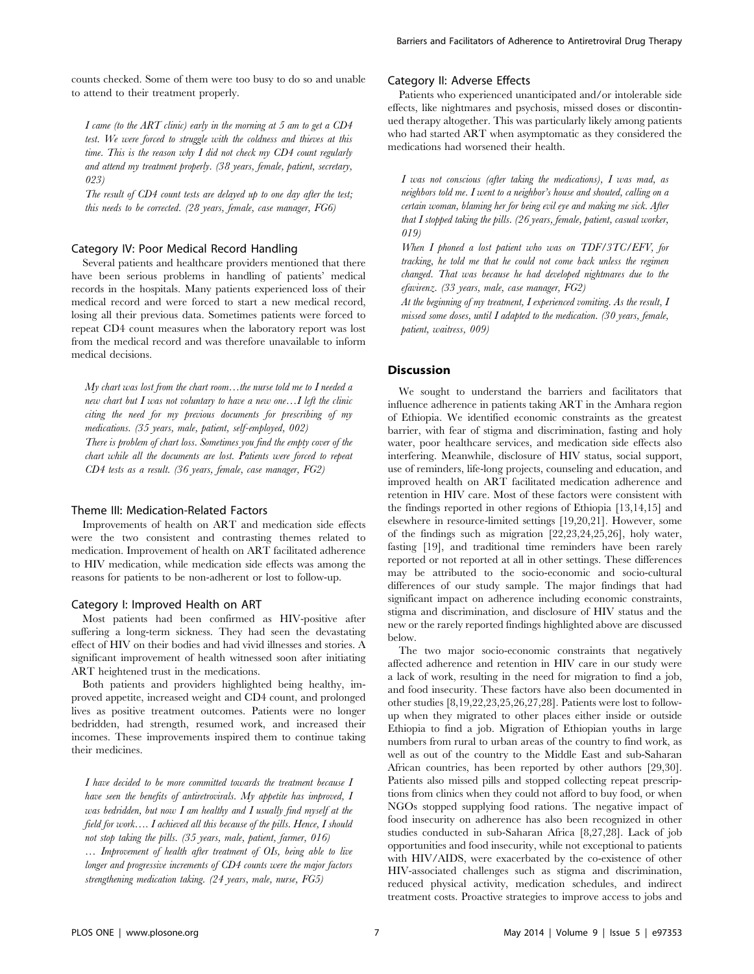counts checked. Some of them were too busy to do so and unable to attend to their treatment properly.

I came (to the ART clinic) early in the morning at 5 am to get a  $CD4$ test. We were forced to struggle with the coldness and thieves at this time. This is the reason why I did not check my CD4 count regularly and attend my treatment properly. (38 years, female, patient, secretary, 023)

The result of CD4 count tests are delayed up to one day after the test; this needs to be corrected. (28 years, female, case manager, FG6)

#### Category IV: Poor Medical Record Handling

Several patients and healthcare providers mentioned that there have been serious problems in handling of patients' medical records in the hospitals. Many patients experienced loss of their medical record and were forced to start a new medical record, losing all their previous data. Sometimes patients were forced to repeat CD4 count measures when the laboratory report was lost from the medical record and was therefore unavailable to inform medical decisions.

My chart was lost from the chart room…the nurse told me to I needed a new chart but I was not voluntary to have a new one…I left the clinic citing the need for my previous documents for prescribing of my medications. (35 years, male, patient, self-employed, 002) There is problem of chart loss. Sometimes you find the empty cover of the chart while all the documents are lost. Patients were forced to repeat CD4 tests as a result. (36 years, female, case manager, FG2)

## Theme III: Medication-Related Factors

Improvements of health on ART and medication side effects were the two consistent and contrasting themes related to medication. Improvement of health on ART facilitated adherence to HIV medication, while medication side effects was among the reasons for patients to be non-adherent or lost to follow-up.

## Category I: Improved Health on ART

Most patients had been confirmed as HIV-positive after suffering a long-term sickness. They had seen the devastating effect of HIV on their bodies and had vivid illnesses and stories. A significant improvement of health witnessed soon after initiating ART heightened trust in the medications.

Both patients and providers highlighted being healthy, improved appetite, increased weight and CD4 count, and prolonged lives as positive treatment outcomes. Patients were no longer bedridden, had strength, resumed work, and increased their incomes. These improvements inspired them to continue taking their medicines.

I have decided to be more committed towards the treatment because I have seen the benefits of antiretrovirals. My appetite has improved, I was bedridden, but now  $I$  am healthy and  $I$  usually find myself at the field for work…. I achieved all this because of the pills. Hence, I should not stop taking the pills. (35 years, male, patient, farmer, 016)

... Improvement of health after treatment of OIs, being able to live longer and progressive increments of CD4 counts were the major factors strengthening medication taking. (24 years, male, nurse, FG5)

## Category II: Adverse Effects

Patients who experienced unanticipated and/or intolerable side effects, like nightmares and psychosis, missed doses or discontinued therapy altogether. This was particularly likely among patients who had started ART when asymptomatic as they considered the medications had worsened their health.

I was not conscious (after taking the medications), I was mad, as neighbors told me. I went to a neighbor's house and shouted, calling on a certain woman, blaming her for being evil eye and making me sick. After that I stopped taking the pills. (26 years, female, patient, casual worker, 019)

When I phoned a lost patient who was on TDF/3TC/EFV, for tracking, he told me that he could not come back unless the regimen changed. That was because he had developed nightmares due to the efavirenz. (33 years, male, case manager, FG2)

At the beginning of my treatment, I experienced vomiting. As the result, I missed some doses, until I adapted to the medication. (30 years, female, patient, waitress, 009)

## **Discussion**

We sought to understand the barriers and facilitators that influence adherence in patients taking ART in the Amhara region of Ethiopia. We identified economic constraints as the greatest barrier, with fear of stigma and discrimination, fasting and holy water, poor healthcare services, and medication side effects also interfering. Meanwhile, disclosure of HIV status, social support, use of reminders, life-long projects, counseling and education, and improved health on ART facilitated medication adherence and retention in HIV care. Most of these factors were consistent with the findings reported in other regions of Ethiopia [13,14,15] and elsewhere in resource-limited settings [19,20,21]. However, some of the findings such as migration [22,23,24,25,26], holy water, fasting [19], and traditional time reminders have been rarely reported or not reported at all in other settings. These differences may be attributed to the socio-economic and socio-cultural differences of our study sample. The major findings that had significant impact on adherence including economic constraints, stigma and discrimination, and disclosure of HIV status and the new or the rarely reported findings highlighted above are discussed below.

The two major socio-economic constraints that negatively affected adherence and retention in HIV care in our study were a lack of work, resulting in the need for migration to find a job, and food insecurity. These factors have also been documented in other studies [8,19,22,23,25,26,27,28]. Patients were lost to followup when they migrated to other places either inside or outside Ethiopia to find a job. Migration of Ethiopian youths in large numbers from rural to urban areas of the country to find work, as well as out of the country to the Middle East and sub-Saharan African countries, has been reported by other authors [29,30]. Patients also missed pills and stopped collecting repeat prescriptions from clinics when they could not afford to buy food, or when NGOs stopped supplying food rations. The negative impact of food insecurity on adherence has also been recognized in other studies conducted in sub-Saharan Africa [8,27,28]. Lack of job opportunities and food insecurity, while not exceptional to patients with HIV/AIDS, were exacerbated by the co-existence of other HIV-associated challenges such as stigma and discrimination, reduced physical activity, medication schedules, and indirect treatment costs. Proactive strategies to improve access to jobs and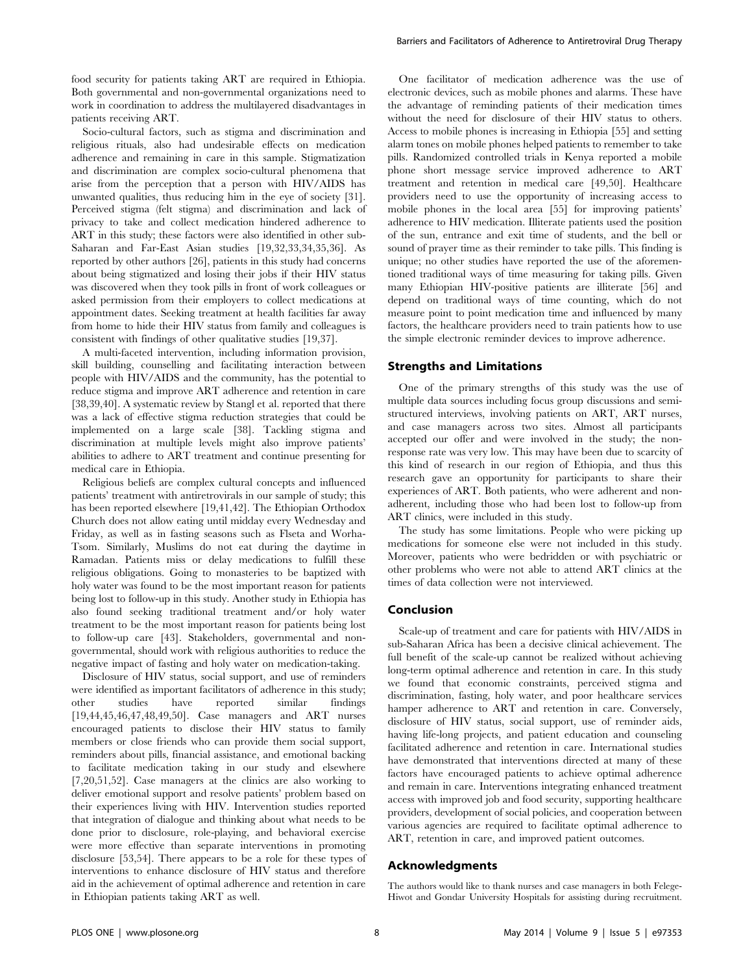food security for patients taking ART are required in Ethiopia. Both governmental and non-governmental organizations need to work in coordination to address the multilayered disadvantages in patients receiving ART.

Socio-cultural factors, such as stigma and discrimination and religious rituals, also had undesirable effects on medication adherence and remaining in care in this sample. Stigmatization and discrimination are complex socio-cultural phenomena that arise from the perception that a person with HIV/AIDS has unwanted qualities, thus reducing him in the eye of society [31]. Perceived stigma (felt stigma) and discrimination and lack of privacy to take and collect medication hindered adherence to ART in this study; these factors were also identified in other sub-Saharan and Far-East Asian studies [19,32,33,34,35,36]. As reported by other authors [26], patients in this study had concerns about being stigmatized and losing their jobs if their HIV status was discovered when they took pills in front of work colleagues or asked permission from their employers to collect medications at appointment dates. Seeking treatment at health facilities far away from home to hide their HIV status from family and colleagues is consistent with findings of other qualitative studies [19,37].

A multi-faceted intervention, including information provision, skill building, counselling and facilitating interaction between people with HIV/AIDS and the community, has the potential to reduce stigma and improve ART adherence and retention in care [38,39,40]. A systematic review by Stangl et al. reported that there was a lack of effective stigma reduction strategies that could be implemented on a large scale [38]. Tackling stigma and discrimination at multiple levels might also improve patients' abilities to adhere to ART treatment and continue presenting for medical care in Ethiopia.

Religious beliefs are complex cultural concepts and influenced patients' treatment with antiretrovirals in our sample of study; this has been reported elsewhere [19,41,42]. The Ethiopian Orthodox Church does not allow eating until midday every Wednesday and Friday, as well as in fasting seasons such as Flseta and Worha-Tsom. Similarly, Muslims do not eat during the daytime in Ramadan. Patients miss or delay medications to fulfill these religious obligations. Going to monasteries to be baptized with holy water was found to be the most important reason for patients being lost to follow-up in this study. Another study in Ethiopia has also found seeking traditional treatment and/or holy water treatment to be the most important reason for patients being lost to follow-up care [43]. Stakeholders, governmental and nongovernmental, should work with religious authorities to reduce the negative impact of fasting and holy water on medication-taking.

Disclosure of HIV status, social support, and use of reminders were identified as important facilitators of adherence in this study; other studies have reported similar findings [19,44,45,46,47,48,49,50]. Case managers and ART nurses encouraged patients to disclose their HIV status to family members or close friends who can provide them social support, reminders about pills, financial assistance, and emotional backing to facilitate medication taking in our study and elsewhere [7,20,51,52]. Case managers at the clinics are also working to deliver emotional support and resolve patients' problem based on their experiences living with HIV. Intervention studies reported that integration of dialogue and thinking about what needs to be done prior to disclosure, role-playing, and behavioral exercise were more effective than separate interventions in promoting disclosure [53,54]. There appears to be a role for these types of interventions to enhance disclosure of HIV status and therefore aid in the achievement of optimal adherence and retention in care in Ethiopian patients taking ART as well.

One facilitator of medication adherence was the use of electronic devices, such as mobile phones and alarms. These have the advantage of reminding patients of their medication times without the need for disclosure of their HIV status to others. Access to mobile phones is increasing in Ethiopia [55] and setting alarm tones on mobile phones helped patients to remember to take pills. Randomized controlled trials in Kenya reported a mobile phone short message service improved adherence to ART treatment and retention in medical care [49,50]. Healthcare providers need to use the opportunity of increasing access to mobile phones in the local area [55] for improving patients' adherence to HIV medication. Illiterate patients used the position of the sun, entrance and exit time of students, and the bell or sound of prayer time as their reminder to take pills. This finding is unique; no other studies have reported the use of the aforementioned traditional ways of time measuring for taking pills. Given many Ethiopian HIV-positive patients are illiterate [56] and depend on traditional ways of time counting, which do not measure point to point medication time and influenced by many factors, the healthcare providers need to train patients how to use the simple electronic reminder devices to improve adherence.

#### Strengths and Limitations

One of the primary strengths of this study was the use of multiple data sources including focus group discussions and semistructured interviews, involving patients on ART, ART nurses, and case managers across two sites. Almost all participants accepted our offer and were involved in the study; the nonresponse rate was very low. This may have been due to scarcity of this kind of research in our region of Ethiopia, and thus this research gave an opportunity for participants to share their experiences of ART. Both patients, who were adherent and nonadherent, including those who had been lost to follow-up from ART clinics, were included in this study.

The study has some limitations. People who were picking up medications for someone else were not included in this study. Moreover, patients who were bedridden or with psychiatric or other problems who were not able to attend ART clinics at the times of data collection were not interviewed.

## Conclusion

Scale-up of treatment and care for patients with HIV/AIDS in sub-Saharan Africa has been a decisive clinical achievement. The full benefit of the scale-up cannot be realized without achieving long-term optimal adherence and retention in care. In this study we found that economic constraints, perceived stigma and discrimination, fasting, holy water, and poor healthcare services hamper adherence to ART and retention in care. Conversely, disclosure of HIV status, social support, use of reminder aids, having life-long projects, and patient education and counseling facilitated adherence and retention in care. International studies have demonstrated that interventions directed at many of these factors have encouraged patients to achieve optimal adherence and remain in care. Interventions integrating enhanced treatment access with improved job and food security, supporting healthcare providers, development of social policies, and cooperation between various agencies are required to facilitate optimal adherence to ART, retention in care, and improved patient outcomes.

# Acknowledgments

The authors would like to thank nurses and case managers in both Felege-Hiwot and Gondar University Hospitals for assisting during recruitment.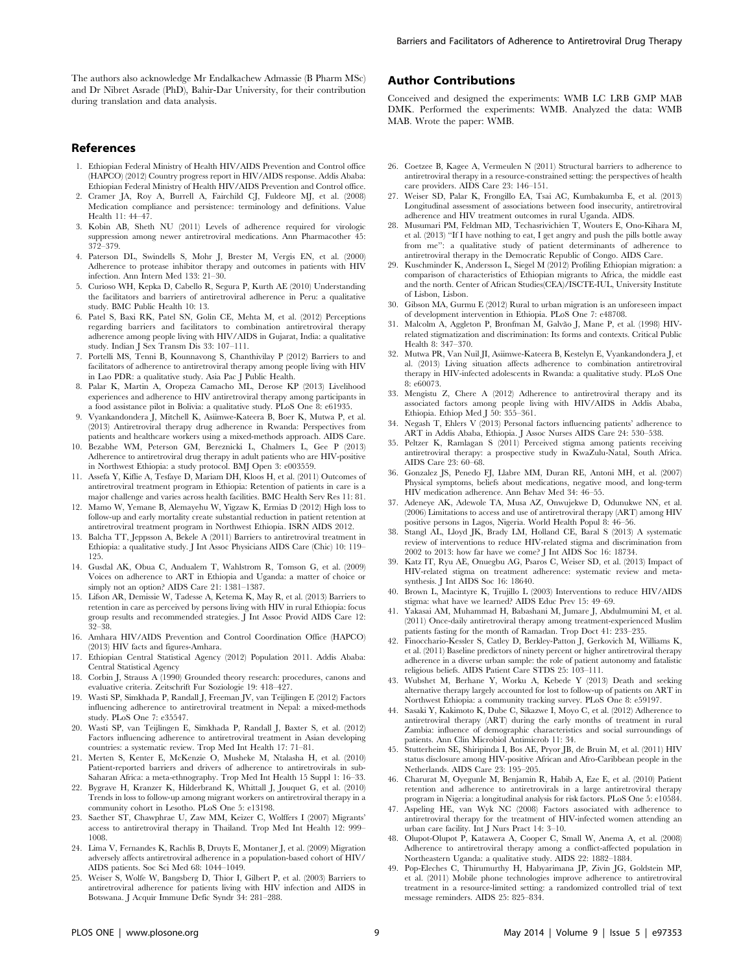The authors also acknowledge Mr Endalkachew Admassie (B Pharm MSc) and Dr Nibret Asrade (PhD), Bahir-Dar University, for their contribution during translation and data analysis.

#### References

- 1. Ethiopian Federal Ministry of Health HIV/AIDS Prevention and Control office (HAPCO) (2012) Country progress report in HIV/AIDS response. Addis Ababa: Ethiopian Federal Ministry of Health HIV/AIDS Prevention and Control office.
- 2. Cramer JA, Roy A, Burrell A, Fairchild CJ, Fuldeore MJ, et al. (2008) Medication compliance and persistence: terminology and definitions. Value Health 11: 44–47.
- 3. Kobin AB, Sheth NU (2011) Levels of adherence required for virologic suppression among newer antiretroviral medications. Ann Pharmacother 45: 372–379.
- 4. Paterson DL, Swindells S, Mohr J, Brester M, Vergis EN, et al. (2000) Adherence to protease inhibitor therapy and outcomes in patients with HIV infection. Ann Intern Med 133: 21–30.
- 5. Curioso WH, Kepka D, Cabello R, Segura P, Kurth AE (2010) Understanding the facilitators and barriers of antiretroviral adherence in Peru: a qualitative study. BMC Public Health 10: 13.
- 6. Patel S, Baxi RK, Patel SN, Golin CE, Mehta M, et al. (2012) Perceptions regarding barriers and facilitators to combination antiretroviral therapy adherence among people living with HIV/AIDS in Gujarat, India: a qualitative study. Indian J Sex Transm Dis 33: 107–111.
- 7. Portelli MS, Tenni B, Kounnavong S, Chanthivilay P (2012) Barriers to and facilitators of adherence to antiretroviral therapy among people living with HIV in Lao PDR: a qualitative study. Asia Pac J Public Health.
- 8. Palar K, Martin A, Oropeza Camacho ML, Derose KP (2013) Livelihood experiences and adherence to HIV antiretroviral therapy among participants in a food assistance pilot in Bolivia: a qualitative study. PLoS One 8: e61935.
- 9. Vyankandondera J, Mitchell K, Asiimwe-Kateera B, Boer K, Mutwa P, et al. (2013) Antiretroviral therapy drug adherence in Rwanda: Perspectives from patients and healthcare workers using a mixed-methods approach. AIDS Care.
- 10. Bezabhe WM, Peterson GM, Bereznicki L, Chalmers L, Gee P (2013) Adherence to antiretroviral drug therapy in adult patients who are HIV-positive in Northwest Ethiopia: a study protocol. BMJ Open 3: e003559.
- 11. Assefa Y, Kiflie A, Tesfaye D, Mariam DH, Kloos H, et al. (2011) Outcomes of antiretroviral treatment program in Ethiopia: Retention of patients in care is a major challenge and varies across health facilities. BMC Health Serv Res 11: 81.
- 12. Mamo W, Yemane B, Alemayehu W, Yigzaw K, Ermias D (2012) High loss to follow-up and early mortality create substantial reduction in patient retention at antiretroviral treatment program in Northwest Ethiopia. ISRN AIDS 2012.
- 13. Balcha TT, Jeppsson A, Bekele A (2011) Barriers to antiretroviral treatment in Ethiopia: a qualitative study. J Int Assoc Physicians AIDS Care (Chic) 10: 119– 125.
- 14. Gusdal AK, Obua C, Andualem T, Wahlstrom R, Tomson G, et al. (2009) Voices on adherence to ART in Ethiopia and Uganda: a matter of choice or simply not an option? AIDS Care 21: 1381–1387.
- 15. Lifson AR, Demissie W, Tadesse A, Ketema K, May R, et al. (2013) Barriers to retention in care as perceived by persons living with HIV in rural Ethiopia: focus group results and recommended strategies. J Int Assoc Provid AIDS Care 12: 32–38.
- 16. Amhara HIV/AIDS Prevention and Control Coordination Office (HAPCO) (2013) HIV facts and figures-Amhara.
- 17. Ethiopian Central Statistical Agency (2012) Population 2011. Addis Ababa: Central Statistical Agency
- 18. Corbin J, Strauss A (1990) Grounded theory research: procedures, canons and evaluative criteria. Zeitschrift Fur Soziologie 19: 418–427.
- 19. Wasti SP, Simkhada P, Randall J, Freeman JV, van Teijlingen E (2012) Factors influencing adherence to antiretroviral treatment in Nepal: a mixed-methods study. PLoS One 7: e35547.
- 20. Wasti SP, van Teijlingen E, Simkhada P, Randall J, Baxter S, et al. (2012) Factors influencing adherence to antiretroviral treatment in Asian developing countries: a systematic review. Trop Med Int Health 17: 71–81.
- 21. Merten S, Kenter E, McKenzie O, Musheke M, Ntalasha H, et al. (2010) Patient-reported barriers and drivers of adherence to antiretrovirals in sub-Saharan Africa: a meta-ethnography. Trop Med Int Health 15 Suppl 1: 16–33.
- 22. Bygrave H, Kranzer K, Hilderbrand K, Whittall J, Jouquet G, et al. (2010) Trends in loss to follow-up among migrant workers on antiretroviral therapy in a community cohort in Lesotho. PLoS One 5: e13198.
- 23. Saether ST, Chawphrae U, Zaw MM, Keizer C, Wolffers I (2007) Migrants' access to antiretroviral therapy in Thailand. Trop Med Int Health 12: 999– 1008.
- 24. Lima V, Fernandes K, Rachlis B, Druyts E, Montaner J, et al. (2009) Migration adversely affects antiretroviral adherence in a population-based cohort of HIV/ AIDS patients. Soc Sci Med 68: 1044–1049.
- 25. Weiser S, Wolfe W, Bangsberg D, Thior I, Gilbert P, et al. (2003) Barriers to antiretroviral adherence for patients living with HIV infection and AIDS in Botswana. J Acquir Immune Defic Syndr 34: 281–288.

## Author Contributions

Conceived and designed the experiments: WMB LC LRB GMP MAB DMK. Performed the experiments: WMB. Analyzed the data: WMB MAB. Wrote the paper: WMB.

- 26. Coetzee B, Kagee A, Vermeulen N (2011) Structural barriers to adherence to antiretroviral therapy in a resource-constrained setting: the perspectives of health care providers. AIDS Care 23: 146–151.
- 27. Weiser SD, Palar K, Frongillo EA, Tsai AC, Kumbakumba E, et al. (2013) Longitudinal assessment of associations between food insecurity, antiretroviral adherence and HIV treatment outcomes in rural Uganda. AIDS.
- 28. Musumari PM, Feldman MD, Techasrivichien T, Wouters E, Ono-Kihara M, et al. (2013) ''If I have nothing to eat, I get angry and push the pills bottle away from me'': a qualitative study of patient determinants of adherence to antiretroviral therapy in the Democratic Republic of Congo. AIDS Care.
- 29. Kuschminder K, Andersson L, Siegel M (2012) Profiling Ethiopian migration: a comparison of characteristics of Ethiopian migrants to Africa, the middle east and the north. Center of African Studies(CEA)/ISCTE-IUL, University Institute of Lisbon, Lisbon.
- 30. Gibson MA, Gurmu E (2012) Rural to urban migration is an unforeseen impact of development intervention in Ethiopia. PLoS One 7: e48708.
- 31. Malcolm A, Aggleton P, Bronfman M, Galvão J, Mane P, et al. (1998) HIVrelated stigmatization and discrimination: Its forms and contexts. Critical Public Health 8: 347–370.
- 32. Mutwa PR, Van Nuil JI, Asiimwe-Kateera B, Kestelyn E, Vyankandondera J, et al. (2013) Living situation affects adherence to combination antiretroviral therapy in HIV-infected adolescents in Rwanda: a qualitative study. PLoS One 8: e60073.
- 33. Mengistu Z, Chere A (2012) Adherence to antiretroviral therapy and its associated factors among people living with HIV/AIDS in Addis Ababa, Ethiopia. Ethiop Med J 50: 355–361.
- 34. Negash T, Ehlers V (2013) Personal factors influencing patients' adherence to ART in Addis Ababa, Ethiopia. J Assoc Nurses AIDS Care 24: 530–538.
- 35. Peltzer K, Ramlagan S (2011) Perceived stigma among patients receiving antiretroviral therapy: a prospective study in KwaZulu-Natal, South Africa. AIDS Care 23: 60–68.
- 36. Gonzalez JS, Penedo FJ, Llabre MM, Duran RE, Antoni MH, et al. (2007) Physical symptoms, beliefs about medications, negative mood, and long-term HIV medication adherence. Ann Behav Med 34: 46–55.
- 37. Adeneye AK, Adewole TA, Musa AZ, Onwujekwe D, Odunukwe NN, et al. (2006) Limitations to access and use of antiretroviral therapy (ART) among HIV positive persons in Lagos, Nigeria. World Health Popul 8: 46–56.
- 38. Stangl AL, Lloyd JK, Brady LM, Holland CE, Baral S (2013) A systematic review of interventions to reduce HIV-related stigma and discrimination from 2002 to 2013: how far have we come? J Int AIDS Soc 16: 18734.
- 39. Katz IT, Ryu AE, Onuegbu AG, Psaros C, Weiser SD, et al. (2013) Impact of HIV-related stigma on treatment adherence: systematic review and metasynthesis. J Int AIDS Soc 16: 18640.
- 40. Brown L, Macintyre K, Trujillo L (2003) Interventions to reduce HIV/AIDS stigma: what have we learned? AIDS Educ Prev 15: 49–69.
- 41. Yakasai AM, Muhammad H, Babashani M, Jumare J, Abdulmumini M, et al. (2011) Once-daily antiretroviral therapy among treatment-experienced Muslim patients fasting for the month of Ramadan. Trop Doct 41: 233–235.
- 42. Finocchario-Kessler S, Catley D, Berkley-Patton J, Gerkovich M, Williams K, et al. (2011) Baseline predictors of ninety percent or higher antiretroviral therapy adherence in a diverse urban sample: the role of patient autonomy and fatalistic religious beliefs. AIDS Patient Care STDS 25: 103–111.
- 43. Wubshet M, Berhane Y, Worku A, Kebede Y (2013) Death and seeking alternative therapy largely accounted for lost to follow-up of patients on ART in Northwest Ethiopia: a community tracking survey. PLoS One 8: e59197.
- 44. Sasaki Y, Kakimoto K, Dube C, Sikazwe I, Moyo C, et al. (2012) Adherence to antiretroviral therapy (ART) during the early months of treatment in rural Zambia: influence of demographic characteristics and social surroundings of patients. Ann Clin Microbiol Antimicrob 11: 34.
- 45. Stutterheim SE, Shiripinda I, Bos AE, Pryor JB, de Bruin M, et al. (2011) HIV status disclosure among HIV-positive African and Afro-Caribbean people in the Netherlands. AIDS Care 23: 195–205.
- 46. Charurat M, Oyegunle M, Benjamin R, Habib A, Eze E, et al. (2010) Patient retention and adherence to antiretrovirals in a large antiretroviral therapy program in Nigeria: a longitudinal analysis for risk factors. PLoS One 5: e10584.
- 47. Aspeling HE, van Wyk NC (2008) Factors associated with adherence to antiretroviral therapy for the treatment of HIV-infected women attending an urban care facility. Int J Nurs Pract 14: 3–10.
- 48. Olupot-Olupot P, Katawera A, Cooper C, Small W, Anema A, et al. (2008) Adherence to antiretroviral therapy among a conflict-affected population in Northeastern Uganda: a qualitative study. AIDS 22: 1882–1884.
- 49. Pop-Eleches C, Thirumurthy H, Habyarimana JP, Zivin JG, Goldstein MP, et al. (2011) Mobile phone technologies improve adherence to antiretroviral treatment in a resource-limited setting: a randomized controlled trial of text message reminders. AIDS 25: 825–834.